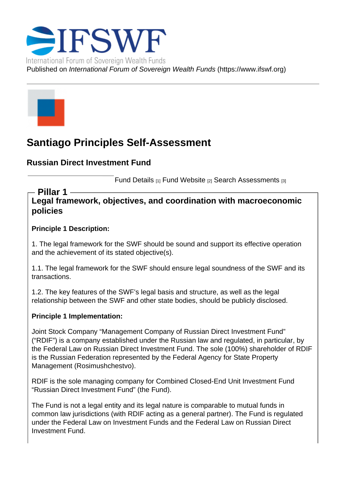# Santiago Principles Self-Assessment

Russian Direct Investment Fund

Fund Details [1] Fund Website [2] Search Assessments [3]

Legal framework, objectives, and coordination with macroeconomic policies Pillar 1

Principle 1 Description:

1. The legal framework for the SWF should be sound and support its effective operation and the achievement of its stated objective(s).

1.1. The legal framework for the SWF should ensure legal soundness of the SWF and its transactions.

1.2. The key features of the SWF's legal basis and structure, as well as the legal relationship between the SWF and other state bodies, should be publicly disclosed.

Principle 1 Implementation:

Joint Stock Company "Management Company of Russian Direct Investment Fund" ("RDIF") is a company established under the Russian law and regulated, in particular, by the Federal Law on Russian Direct Investment Fund. The sole (100%) shareholder of RDIF is the Russian Federation represented by the Federal Agency for State Property Management (Rosimushchestvo).

RDIF is the sole managing company for Combined Closed-End Unit Investment Fund "Russian Direct Investment Fund" (the Fund).

The Fund is not a legal entity and its legal nature is comparable to mutual funds in common law jurisdictions (with RDIF acting as a general partner). The Fund is regulated under the Federal Law on Investment Funds and the Federal Law on Russian Direct Investment Fund.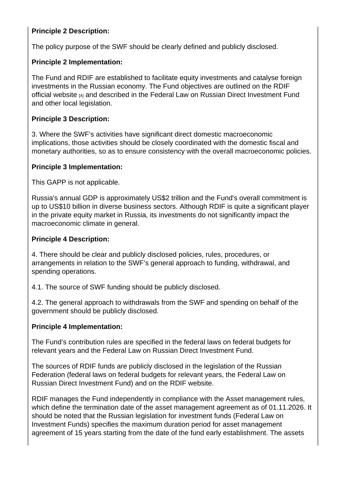Principle 2 Description:

The policy purpose of the SWF should be clearly defined and publicly disclosed.

Principle 2 Implementation:

The Fund and RDIF are established to facilitate equity investments and catalyse foreign investments in the Russian economy. The Fund objectives are outlined on the RDIF official website [4] and described in the Federal Law on Russian Direct Investment Fund and other local legislation.

[Principle 3 Des](http://rdif.ru/)cription:

3. Where the SWF's activities have significant direct domestic macroeconomic implications, those activities should be closely coordinated with the domestic fiscal and monetary authorities, so as to ensure consistency with the overall macroeconomic policies.

Principle 3 Implementation:

This GAPP is not applicable.

Russia's annual GDP is approximately US\$2 trillion and the Fund's overall commitment is up to US\$10 billion in diverse business sectors. Although RDIF is quite a significant player in the private equity market in Russia, its investments do not significantly impact the macroeconomic climate in general.

Principle 4 Description:

4. There should be clear and publicly disclosed policies, rules, procedures, or arrangements in relation to the SWF's general approach to funding, withdrawal, and spending operations.

4.1. The source of SWF funding should be publicly disclosed.

4.2. The general approach to withdrawals from the SWF and spending on behalf of the government should be publicly disclosed.

Principle 4 Implementation:

The Fund's contribution rules are specified in the federal laws on federal budgets for relevant years and the Federal Law on Russian Direct Investment Fund.

The sources of RDIF funds are publicly disclosed in the legislation of the Russian Federation (federal laws on federal budgets for relevant years, the Federal Law on Russian Direct Investment Fund) and on the RDIF website.

RDIF manages the Fund independently in compliance with the Asset management rules, which define the termination date of the asset management agreement as of 01.11.2026. It should be noted that the Russian legislation for investment funds (Federal Law on Investment Funds) specifies the maximum duration period for asset management agreement of 15 years starting from the date of the fund early establishment. The assets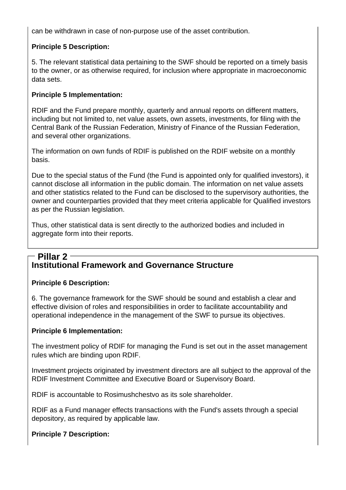can be withdrawn in case of non-purpose use of the asset contribution.

## **Principle 5 Description:**

5. The relevant statistical data pertaining to the SWF should be reported on a timely basis to the owner, or as otherwise required, for inclusion where appropriate in macroeconomic data sets.

#### **Principle 5 Implementation:**

RDIF and the Fund prepare monthly, quarterly and annual reports on different matters, including but not limited to, net value assets, own assets, investments, for filing with the Central Bank of the Russian Federation, Ministry of Finance of the Russian Federation, and several other organizations.

The information on own funds of RDIF is published on the RDIF website on a monthly basis.

Due to the special status of the Fund (the Fund is appointed only for qualified investors), it cannot disclose all information in the public domain. The information on net value assets and other statistics related to the Fund can be disclosed to the supervisory authorities, the owner and counterparties provided that they meet criteria applicable for Qualified investors as per the Russian legislation.

Thus, other statistical data is sent directly to the authorized bodies and included in aggregate form into their reports.

#### **Institutional Framework and Governance Structure Pillar 2**

#### **Principle 6 Description:**

6. The governance framework for the SWF should be sound and establish a clear and effective division of roles and responsibilities in order to facilitate accountability and operational independence in the management of the SWF to pursue its objectives.

#### **Principle 6 Implementation:**

The investment policy of RDIF for managing the Fund is set out in the asset management rules which are binding upon RDIF.

Investment projects originated by investment directors are all subject to the approval of the RDIF Investment Committee and Executive Board or Supervisory Board.

RDIF is accountable to Rosimushchestvo as its sole shareholder.

RDIF as a Fund manager effects transactions with the Fund's assets through a special depository, as required by applicable law.

## **Principle 7 Description:**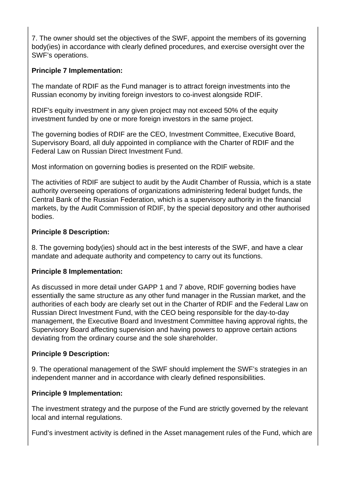7. The owner should set the objectives of the SWF, appoint the members of its governing body(ies) in accordance with clearly defined procedures, and exercise oversight over the SWF's operations.

## **Principle 7 Implementation:**

The mandate of RDIF as the Fund manager is to attract foreign investments into the Russian economy by inviting foreign investors to co-invest alongside RDIF.

RDIF's equity investment in any given project may not exceed 50% of the equity investment funded by one or more foreign investors in the same project.

The governing bodies of RDIF are the CEO, Investment Committee, Executive Board, Supervisory Board, all duly appointed in compliance with the Charter of RDIF and the Federal Law on Russian Direct Investment Fund.

Most information on governing bodies is presented on the RDIF website.

The activities of RDIF are subject to audit by the Audit Chamber of Russia, which is a state authority overseeing operations of organizations administering federal budget funds, the Central Bank of the Russian Federation, which is a supervisory authority in the financial markets, by the Audit Commission of RDIF, by the special depository and other authorised bodies.

#### **Principle 8 Description:**

8. The governing body(ies) should act in the best interests of the SWF, and have a clear mandate and adequate authority and competency to carry out its functions.

#### **Principle 8 Implementation:**

As discussed in more detail under GAPP 1 and 7 above, RDIF governing bodies have essentially the same structure as any other fund manager in the Russian market, and the authorities of each body are clearly set out in the Charter of RDIF and the Federal Law on Russian Direct Investment Fund, with the CEO being responsible for the day-to-day management, the Executive Board and Investment Committee having approval rights, the Supervisory Board affecting supervision and having powers to approve certain actions deviating from the ordinary course and the sole shareholder.

#### **Principle 9 Description:**

9. The operational management of the SWF should implement the SWF's strategies in an independent manner and in accordance with clearly defined responsibilities.

#### **Principle 9 Implementation:**

The investment strategy and the purpose of the Fund are strictly governed by the relevant local and internal regulations.

Fund's investment activity is defined in the Asset management rules of the Fund, which are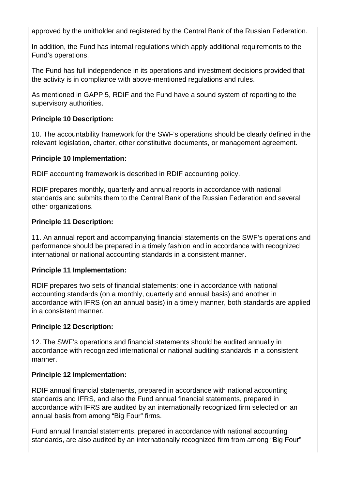approved by the unitholder and registered by the Central Bank of the Russian Federation.

In addition, the Fund has internal regulations which apply additional requirements to the Fund's operations.

The Fund has full independence in its operations and investment decisions provided that the activity is in compliance with above-mentioned regulations and rules.

As mentioned in GAPP 5, RDIF and the Fund have a sound system of reporting to the supervisory authorities.

## **Principle 10 Description:**

10. The accountability framework for the SWF's operations should be clearly defined in the relevant legislation, charter, other constitutive documents, or management agreement.

## **Principle 10 Implementation:**

RDIF accounting framework is described in RDIF accounting policy.

RDIF prepares monthly, quarterly and annual reports in accordance with national standards and submits them to the Central Bank of the Russian Federation and several other organizations.

## **Principle 11 Description:**

11. An annual report and accompanying financial statements on the SWF's operations and performance should be prepared in a timely fashion and in accordance with recognized international or national accounting standards in a consistent manner.

## **Principle 11 Implementation:**

RDIF prepares two sets of financial statements: one in accordance with national accounting standards (on a monthly, quarterly and annual basis) and another in accordance with IFRS (on an annual basis) in a timely manner, both standards are applied in a consistent manner.

# **Principle 12 Description:**

12. The SWF's operations and financial statements should be audited annually in accordance with recognized international or national auditing standards in a consistent manner.

# **Principle 12 Implementation:**

RDIF annual financial statements, prepared in accordance with national accounting standards and IFRS, and also the Fund annual financial statements, prepared in accordance with IFRS are audited by an internationally recognized firm selected on an annual basis from among "Big Four" firms.

Fund annual financial statements, prepared in accordance with national accounting standards, are also audited by an internationally recognized firm from among "Big Four"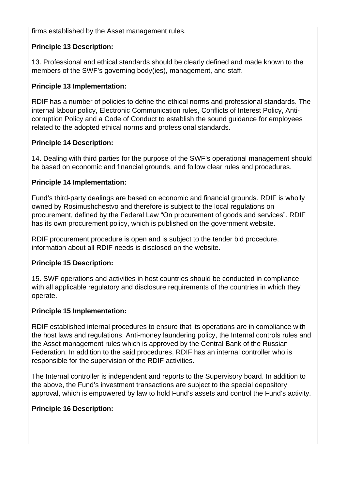firms established by the Asset management rules.

#### **Principle 13 Description:**

13. Professional and ethical standards should be clearly defined and made known to the members of the SWF's governing body(ies), management, and staff.

#### **Principle 13 Implementation:**

RDIF has a number of policies to define the ethical norms and professional standards. The internal labour policy, Electronic Communication rules, Conflicts of Interest Policy, Anticorruption Policy and a Code of Conduct to establish the sound guidance for employees related to the adopted ethical norms and professional standards.

#### **Principle 14 Description:**

14. Dealing with third parties for the purpose of the SWF's operational management should be based on economic and financial grounds, and follow clear rules and procedures.

#### **Principle 14 Implementation:**

Fund's third-party dealings are based on economic and financial grounds. RDIF is wholly owned by Rosimushchestvo and therefore is subject to the local regulations on procurement, defined by the Federal Law "On procurement of goods and services". RDIF has its own procurement policy, which is published on the government website.

RDIF procurement procedure is open and is subject to the tender bid procedure, information about all RDIF needs is disclosed on the website.

## **Principle 15 Description:**

15. SWF operations and activities in host countries should be conducted in compliance with all applicable regulatory and disclosure requirements of the countries in which they operate.

#### **Principle 15 Implementation:**

RDIF established internal procedures to ensure that its operations are in compliance with the host laws and regulations, Anti-money laundering policy, the Internal controls rules and the Asset management rules which is approved by the Central Bank of the Russian Federation. In addition to the said procedures, RDIF has an internal controller who is responsible for the supervision of the RDIF activities.

The Internal controller is independent and reports to the Supervisory board. In addition to the above, the Fund's investment transactions are subject to the special depository approval, which is empowered by law to hold Fund's assets and control the Fund's activity.

#### **Principle 16 Description:**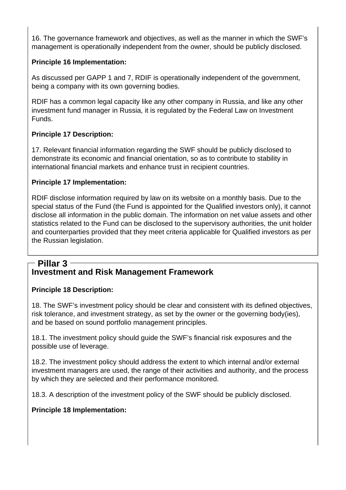16. The governance framework and objectives, as well as the manner in which the SWF's management is operationally independent from the owner, should be publicly disclosed.

## **Principle 16 Implementation:**

As discussed per GAPP 1 and 7, RDIF is operationally independent of the government, being a company with its own governing bodies.

RDIF has a common legal capacity like any other company in Russia, and like any other investment fund manager in Russia, it is regulated by the Federal Law on Investment Funds.

## **Principle 17 Description:**

17. Relevant financial information regarding the SWF should be publicly disclosed to demonstrate its economic and financial orientation, so as to contribute to stability in international financial markets and enhance trust in recipient countries.

#### **Principle 17 Implementation:**

RDIF disclose information required by law on its website on a monthly basis. Due to the special status of the Fund (the Fund is appointed for the Qualified investors only), it cannot disclose all information in the public domain. The information on net value assets and other statistics related to the Fund can be disclosed to the supervisory authorities, the unit holder and counterparties provided that they meet criteria applicable for Qualified investors as per the Russian legislation.

#### **Investment and Risk Management Framework Pillar 3**

## **Principle 18 Description:**

18. The SWF's investment policy should be clear and consistent with its defined objectives, risk tolerance, and investment strategy, as set by the owner or the governing body(ies), and be based on sound portfolio management principles.

18.1. The investment policy should guide the SWF's financial risk exposures and the possible use of leverage.

18.2. The investment policy should address the extent to which internal and/or external investment managers are used, the range of their activities and authority, and the process by which they are selected and their performance monitored.

18.3. A description of the investment policy of the SWF should be publicly disclosed.

## **Principle 18 Implementation:**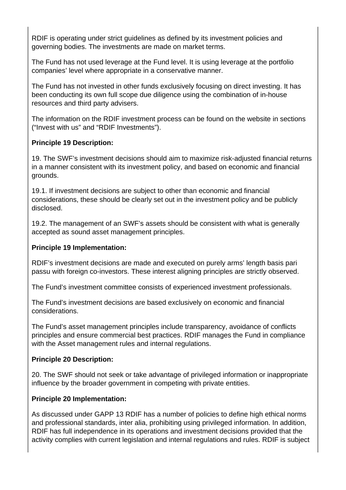RDIF is operating under strict guidelines as defined by its investment policies and governing bodies. The investments are made on market terms.

The Fund has not used leverage at the Fund level. It is using leverage at the portfolio companies' level where appropriate in a conservative manner.

The Fund has not invested in other funds exclusively focusing on direct investing. It has been conducting its own full scope due diligence using the combination of in-house resources and third party advisers.

The information on the RDIF investment process can be found on the website in sections ("Invest with us" and "RDIF Investments").

#### **Principle 19 Description:**

19. The SWF's investment decisions should aim to maximize risk-adjusted financial returns in a manner consistent with its investment policy, and based on economic and financial grounds.

19.1. If investment decisions are subject to other than economic and financial considerations, these should be clearly set out in the investment policy and be publicly disclosed.

19.2. The management of an SWF's assets should be consistent with what is generally accepted as sound asset management principles.

#### **Principle 19 Implementation:**

RDIF's investment decisions are made and executed on purely arms' length basis pari passu with foreign co-investors. These interest aligning principles are strictly observed.

The Fund's investment committee consists of experienced investment professionals.

The Fund's investment decisions are based exclusively on economic and financial considerations.

The Fund's asset management principles include transparency, avoidance of conflicts principles and ensure commercial best practices. RDIF manages the Fund in compliance with the Asset management rules and internal regulations.

#### **Principle 20 Description:**

20. The SWF should not seek or take advantage of privileged information or inappropriate influence by the broader government in competing with private entities.

#### **Principle 20 Implementation:**

As discussed under GAPP 13 RDIF has a number of policies to define high ethical norms and professional standards, inter alia, prohibiting using privileged information. In addition, RDIF has full independence in its operations and investment decisions provided that the activity complies with current legislation and internal regulations and rules. RDIF is subject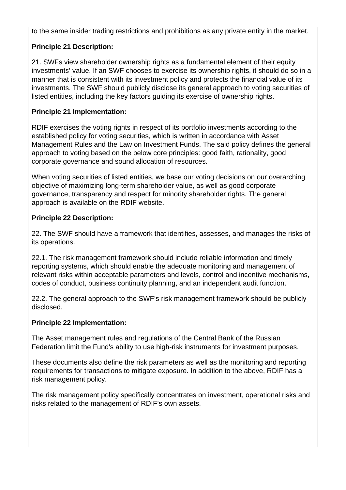to the same insider trading restrictions and prohibitions as any private entity in the market.

## **Principle 21 Description:**

21. SWFs view shareholder ownership rights as a fundamental element of their equity investments' value. If an SWF chooses to exercise its ownership rights, it should do so in a manner that is consistent with its investment policy and protects the financial value of its investments. The SWF should publicly disclose its general approach to voting securities of listed entities, including the key factors guiding its exercise of ownership rights.

## **Principle 21 Implementation:**

RDIF exercises the voting rights in respect of its portfolio investments according to the established policy for voting securities, which is written in accordance with Asset Management Rules and the Law on Investment Funds. The said policy defines the general approach to voting based on the below core principles: good faith, rationality, good corporate governance and sound allocation of resources.

When voting securities of listed entities, we base our voting decisions on our overarching objective of maximizing long-term shareholder value, as well as good corporate governance, transparency and respect for minority shareholder rights. The general approach is available on the RDIF website.

## **Principle 22 Description:**

22. The SWF should have a framework that identifies, assesses, and manages the risks of its operations.

22.1. The risk management framework should include reliable information and timely reporting systems, which should enable the adequate monitoring and management of relevant risks within acceptable parameters and levels, control and incentive mechanisms, codes of conduct, business continuity planning, and an independent audit function.

22.2. The general approach to the SWF's risk management framework should be publicly disclosed.

## **Principle 22 Implementation:**

The Asset management rules and regulations of the Central Bank of the Russian Federation limit the Fund's ability to use high-risk instruments for investment purposes.

These documents also define the risk parameters as well as the monitoring and reporting requirements for transactions to mitigate exposure. In addition to the above, RDIF has a risk management policy.

The risk management policy specifically concentrates on investment, operational risks and risks related to the management of RDIF's own assets.